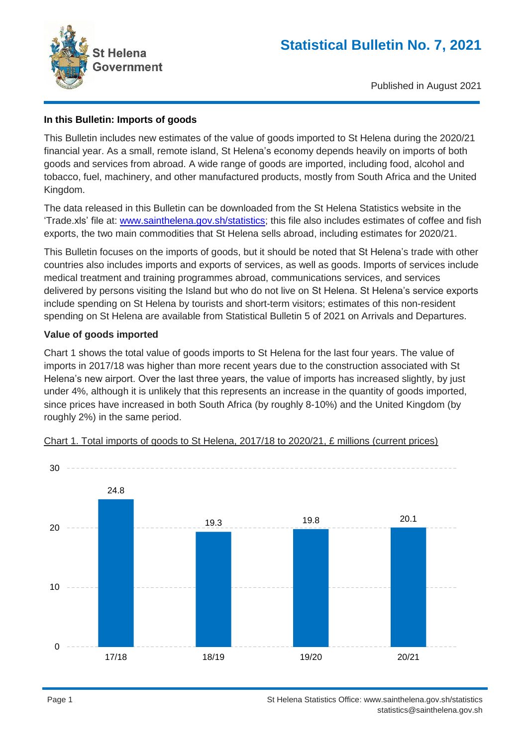

Published in August 2021

# **In this Bulletin: Imports of goods**

This Bulletin includes new estimates of the value of goods imported to St Helena during the 2020/21 financial year. As a small, remote island, St Helena's economy depends heavily on imports of both goods and services from abroad. A wide range of goods are imported, including food, alcohol and tobacco, fuel, machinery, and other manufactured products, mostly from South Africa and the United Kingdom.

The data released in this Bulletin can be downloaded from the St Helena Statistics website in the 'Trade.xls' file at: [www.sainthelena.gov.sh/statistics;](http://www.sainthelena.gov.sh/statistics/) this file also includes estimates of coffee and fish exports, the two main commodities that St Helena sells abroad, including estimates for 2020/21.

This Bulletin focuses on the imports of goods, but it should be noted that St Helena's trade with other countries also includes imports and exports of services, as well as goods. Imports of services include medical treatment and training programmes abroad, communications services, and services delivered by persons visiting the Island but who do not live on St Helena. St Helena's service exports include spending on St Helena by tourists and short-term visitors; estimates of this non-resident spending on St Helena are available from Statistical Bulletin 5 of 2021 on Arrivals and Departures.

# **Value of goods imported**

Chart 1 shows the total value of goods imports to St Helena for the last four years. The value of imports in 2017/18 was higher than more recent years due to the construction associated with St Helena's new airport. Over the last three years, the value of imports has increased slightly, by just under 4%, although it is unlikely that this represents an increase in the quantity of goods imported, since prices have increased in both South Africa (by roughly 8-10%) and the United Kingdom (by roughly 2%) in the same period.



#### Chart 1. Total imports of goods to St Helena, 2017/18 to 2020/21, £ millions (current prices)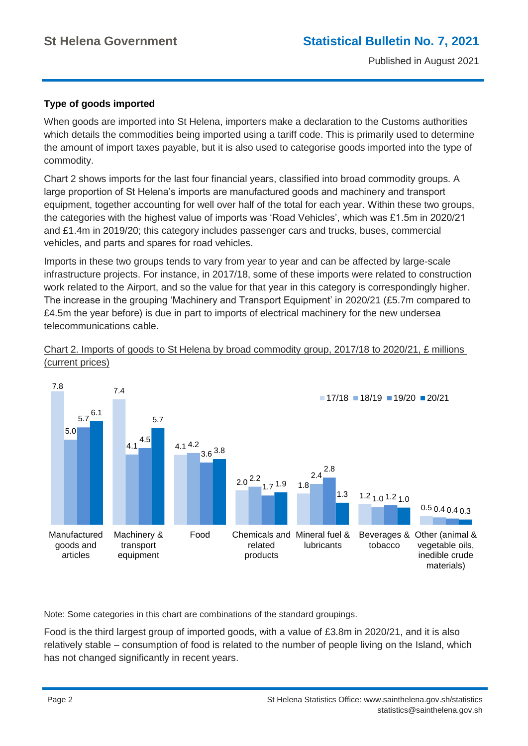# **Type of goods imported**

When goods are imported into St Helena, importers make a declaration to the Customs authorities which details the commodities being imported using a tariff code. This is primarily used to determine the amount of import taxes payable, but it is also used to categorise goods imported into the type of commodity.

Chart 2 shows imports for the last four financial years, classified into broad commodity groups. A large proportion of St Helena's imports are manufactured goods and machinery and transport equipment, together accounting for well over half of the total for each year. Within these two groups, the categories with the highest value of imports was 'Road Vehicles', which was £1.5m in 2020/21 and £1.4m in 2019/20; this category includes passenger cars and trucks, buses, commercial vehicles, and parts and spares for road vehicles.

Imports in these two groups tends to vary from year to year and can be affected by large-scale infrastructure projects. For instance, in 2017/18, some of these imports were related to construction work related to the Airport, and so the value for that year in this category is correspondingly higher. The increase in the grouping 'Machinery and Transport Equipment' in 2020/21 (£5.7m compared to £4.5m the year before) is due in part to imports of electrical machinery for the new undersea telecommunications cable.



Chart 2. Imports of goods to St Helena by broad commodity group, 2017/18 to 2020/21, £ millions



Note: Some categories in this chart are combinations of the standard groupings.

Food is the third largest group of imported goods, with a value of £3.8m in 2020/21, and it is also relatively stable – consumption of food is related to the number of people living on the Island, which has not changed significantly in recent years.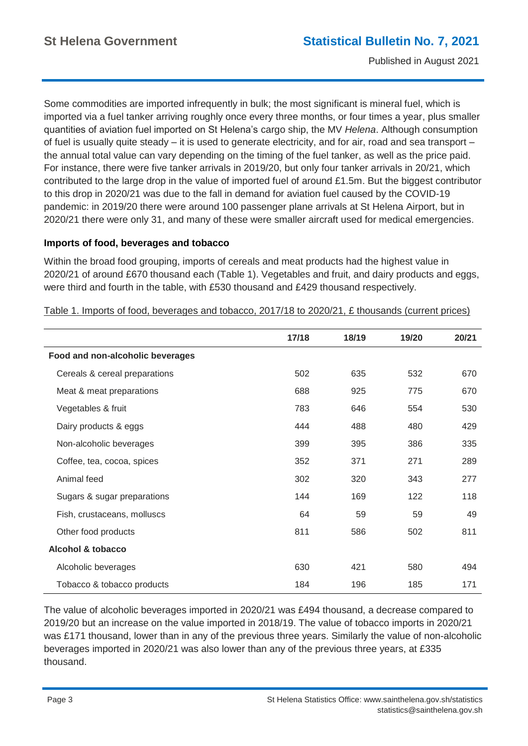Some commodities are imported infrequently in bulk; the most significant is mineral fuel, which is imported via a fuel tanker arriving roughly once every three months, or four times a year, plus smaller quantities of aviation fuel imported on St Helena's cargo ship, the MV *Helena*. Although consumption of fuel is usually quite steady – it is used to generate electricity, and for air, road and sea transport – the annual total value can vary depending on the timing of the fuel tanker, as well as the price paid. For instance, there were five tanker arrivals in 2019/20, but only four tanker arrivals in 20/21, which contributed to the large drop in the value of imported fuel of around £1.5m. But the biggest contributor to this drop in 2020/21 was due to the fall in demand for aviation fuel caused by the COVID-19 pandemic: in 2019/20 there were around 100 passenger plane arrivals at St Helena Airport, but in 2020/21 there were only 31, and many of these were smaller aircraft used for medical emergencies.

# **Imports of food, beverages and tobacco**

Within the broad food grouping, imports of cereals and meat products had the highest value in 2020/21 of around £670 thousand each (Table 1). Vegetables and fruit, and dairy products and eggs, were third and fourth in the table, with £530 thousand and £429 thousand respectively.

|                                  | 17/18 | 18/19 | 19/20 | 20/21 |
|----------------------------------|-------|-------|-------|-------|
| Food and non-alcoholic beverages |       |       |       |       |
| Cereals & cereal preparations    | 502   | 635   | 532   | 670   |
| Meat & meat preparations         | 688   | 925   | 775   | 670   |
| Vegetables & fruit               | 783   | 646   | 554   | 530   |
| Dairy products & eggs            | 444   | 488   | 480   | 429   |
| Non-alcoholic beverages          | 399   | 395   | 386   | 335   |
| Coffee, tea, cocoa, spices       | 352   | 371   | 271   | 289   |
| Animal feed                      | 302   | 320   | 343   | 277   |
| Sugars & sugar preparations      | 144   | 169   | 122   | 118   |
| Fish, crustaceans, molluscs      | 64    | 59    | 59    | 49    |
| Other food products              | 811   | 586   | 502   | 811   |
| Alcohol & tobacco                |       |       |       |       |
| Alcoholic beverages              | 630   | 421   | 580   | 494   |
| Tobacco & tobacco products       | 184   | 196   | 185   | 171   |

Table 1. Imports of food, beverages and tobacco, 2017/18 to 2020/21, £ thousands (current prices)

The value of alcoholic beverages imported in 2020/21 was £494 thousand, a decrease compared to 2019/20 but an increase on the value imported in 2018/19. The value of tobacco imports in 2020/21 was £171 thousand, lower than in any of the previous three years. Similarly the value of non-alcoholic beverages imported in 2020/21 was also lower than any of the previous three years, at £335 thousand.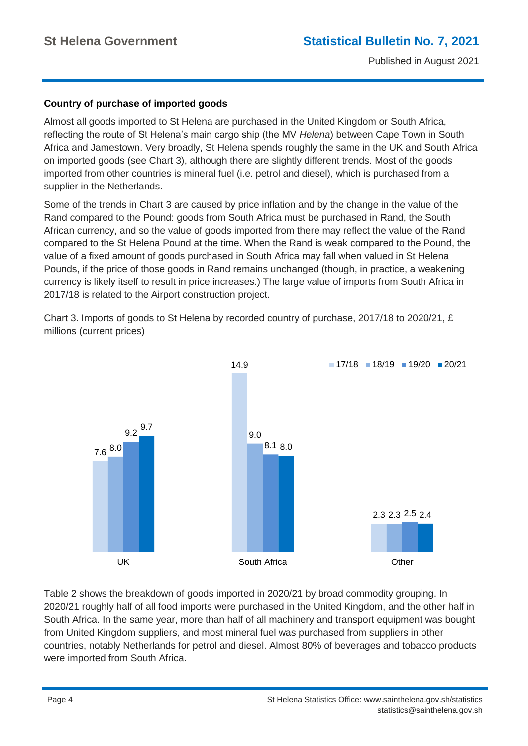# **Country of purchase of imported goods**

Almost all goods imported to St Helena are purchased in the United Kingdom or South Africa, reflecting the route of St Helena's main cargo ship (the MV *Helena*) between Cape Town in South Africa and Jamestown. Very broadly, St Helena spends roughly the same in the UK and South Africa on imported goods (see Chart 3), although there are slightly different trends. Most of the goods imported from other countries is mineral fuel (i.e. petrol and diesel), which is purchased from a supplier in the Netherlands.

Some of the trends in Chart 3 are caused by price inflation and by the change in the value of the Rand compared to the Pound: goods from South Africa must be purchased in Rand, the South African currency, and so the value of goods imported from there may reflect the value of the Rand compared to the St Helena Pound at the time. When the Rand is weak compared to the Pound, the value of a fixed amount of goods purchased in South Africa may fall when valued in St Helena Pounds, if the price of those goods in Rand remains unchanged (though, in practice, a weakening currency is likely itself to result in price increases.) The large value of imports from South Africa in 2017/18 is related to the Airport construction project.

Chart 3. Imports of goods to St Helena by recorded country of purchase, 2017/18 to 2020/21, £ millions (current prices)



Table 2 shows the breakdown of goods imported in 2020/21 by broad commodity grouping. In 2020/21 roughly half of all food imports were purchased in the United Kingdom, and the other half in South Africa. In the same year, more than half of all machinery and transport equipment was bought from United Kingdom suppliers, and most mineral fuel was purchased from suppliers in other countries, notably Netherlands for petrol and diesel. Almost 80% of beverages and tobacco products were imported from South Africa.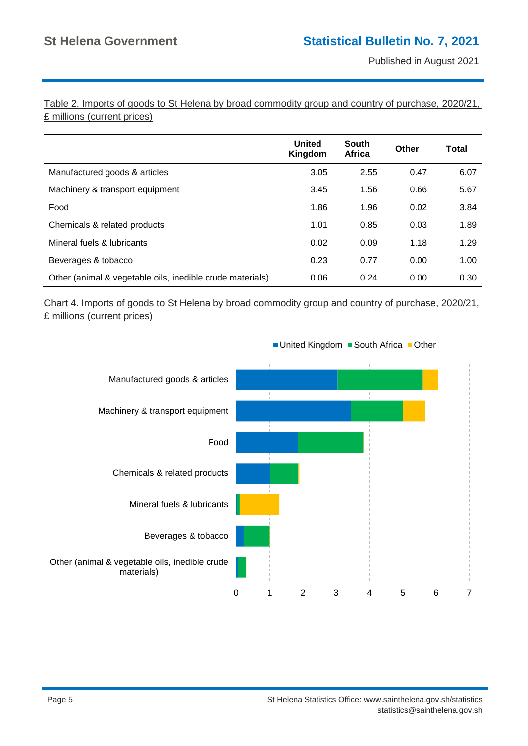Table 2. Imports of goods to St Helena by broad commodity group and country of purchase, 2020/21, £ millions (current prices)

|                                                           | <b>United</b><br>Kingdom | <b>South</b><br>Africa | Other | Total |
|-----------------------------------------------------------|--------------------------|------------------------|-------|-------|
| Manufactured goods & articles                             | 3.05                     | 2.55                   | 0.47  | 6.07  |
| Machinery & transport equipment                           | 3.45                     | 1.56                   | 0.66  | 5.67  |
| Food                                                      | 1.86                     | 1.96                   | 0.02  | 3.84  |
| Chemicals & related products                              | 1.01                     | 0.85                   | 0.03  | 1.89  |
| Mineral fuels & lubricants                                | 0.02                     | 0.09                   | 1.18  | 1.29  |
| Beverages & tobacco                                       | 0.23                     | 0.77                   | 0.00  | 1.00  |
| Other (animal & vegetable oils, inedible crude materials) | 0.06                     | 0.24                   | 0.00  | 0.30  |

# Chart 4. Imports of goods to St Helena by broad commodity group and country of purchase, 2020/21, £ millions (current prices)



■ United Kingdom ■ South Africa ■ Other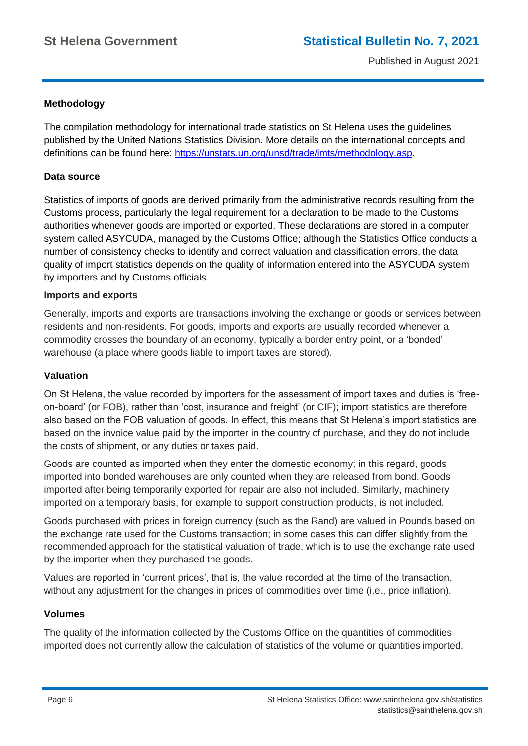# **Methodology**

The compilation methodology for international trade statistics on St Helena uses the guidelines published by the United Nations Statistics Division. More details on the international concepts and definitions can be found here: [https://unstats.un.org/unsd/trade/imts/methodology.asp.](https://unstats.un.org/unsd/trade/imts/methodology.asp)

#### **Data source**

Statistics of imports of goods are derived primarily from the administrative records resulting from the Customs process, particularly the legal requirement for a declaration to be made to the Customs authorities whenever goods are imported or exported. These declarations are stored in a computer system called ASYCUDA, managed by the Customs Office; although the Statistics Office conducts a number of consistency checks to identify and correct valuation and classification errors, the data quality of import statistics depends on the quality of information entered into the ASYCUDA system by importers and by Customs officials.

#### **Imports and exports**

Generally, imports and exports are transactions involving the exchange or goods or services between residents and non-residents. For goods, imports and exports are usually recorded whenever a commodity crosses the boundary of an economy, typically a border entry point, or a 'bonded' warehouse (a place where goods liable to import taxes are stored).

#### **Valuation**

On St Helena, the value recorded by importers for the assessment of import taxes and duties is 'freeon-board' (or FOB), rather than 'cost, insurance and freight' (or CIF); import statistics are therefore also based on the FOB valuation of goods. In effect, this means that St Helena's import statistics are based on the invoice value paid by the importer in the country of purchase, and they do not include the costs of shipment, or any duties or taxes paid.

Goods are counted as imported when they enter the domestic economy; in this regard, goods imported into bonded warehouses are only counted when they are released from bond. Goods imported after being temporarily exported for repair are also not included. Similarly, machinery imported on a temporary basis, for example to support construction products, is not included.

Goods purchased with prices in foreign currency (such as the Rand) are valued in Pounds based on the exchange rate used for the Customs transaction; in some cases this can differ slightly from the recommended approach for the statistical valuation of trade, which is to use the exchange rate used by the importer when they purchased the goods.

Values are reported in 'current prices', that is, the value recorded at the time of the transaction, without any adjustment for the changes in prices of commodities over time (i.e., price inflation).

#### **Volumes**

The quality of the information collected by the Customs Office on the quantities of commodities imported does not currently allow the calculation of statistics of the volume or quantities imported.